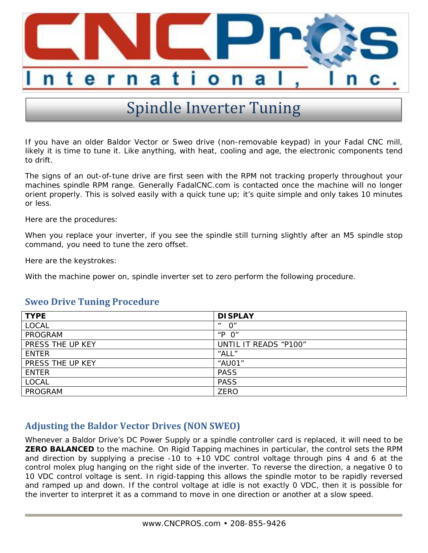

## Spindle Inverter Tuning

If you have an older Baldor Vector or Sweo drive (non-removable keypad) in your Fadal CNC mill, likely it is time to tune it. Like anything, with heat, cooling and age, the electronic components tend to drift.

The signs of an out-of-tune drive are first seen with the RPM not tracking properly throughout your machines spindle RPM range. Generally FadalCNC.com is contacted once the machine will no longer orient properly. This is solved easily with a quick tune up; it's quite simple and only takes 10 minutes or less.

Here are the procedures:

When you replace your inverter, if you see the spindle still turning slightly after an M5 spindle stop command, you need to tune the zero offset.

Here are the keystrokes:

With the machine power on, spindle inverter set to zero perform the following procedure.

## **Sweo Drive Tuning Procedure**

| <b>TYPE</b>      | <b>DISPLAY</b>             |
|------------------|----------------------------|
| <b>LOCAL</b>     | O''<br>$\mathbf{u}$        |
| PROGRAM          | O''<br>$^{\prime\prime}$ D |
| PRESS THE UP KEY | UNTIL IT READS "P100"      |
| <b>ENTER</b>     | "ALL"                      |
| PRESS THE UP KEY | "AU01"                     |
| <b>ENTER</b>     | <b>PASS</b>                |
| <b>LOCAL</b>     | <b>PASS</b>                |
| PROGRAM          | ZERO                       |

## **Adjusting the Baldor Vector Drives (NON SWEO)**

Whenever a Baldor Drive's DC Power Supply or a spindle controller card is replaced, it will need to be **ZERO BALANCED** to the machine. On Rigid Tapping machines in particular, the control sets the RPM and direction by supplying a precise -10 to +10 VDC control voltage through pins 4 and 6 at the control molex plug hanging on the right side of the inverter. To reverse the direction, a negative 0 to 10 VDC control voltage is sent. In rigid-tapping this allows the spindle motor to be rapidly reversed and ramped up and down. If the control voltage at idle is not exactly 0 VDC, then it is possible for the inverter to interpret it as a command to move in one direction or another at a slow speed.